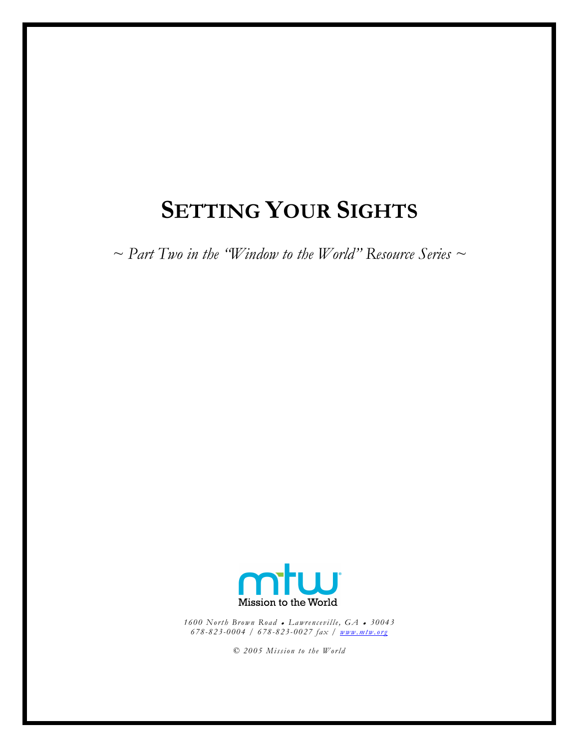# SETTING YOUR SIGHTS

 $\sim$  Part Two in the "Window to the World" Resource Series  $\sim$ 



1600 North Brown Road • Lawrenceville, GA • 30043 678- 823-0004 / 678-823- 0027 fax / www.mtw.org

© 2005 Mission to the World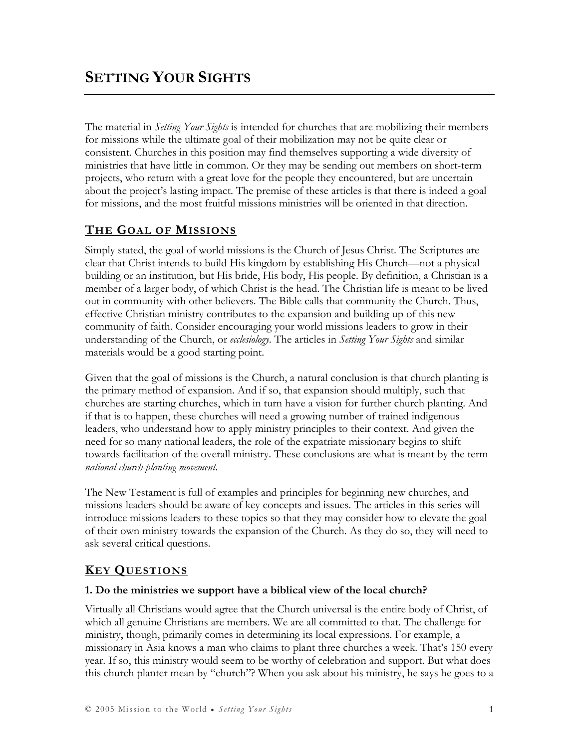The material in *Setting Your Sights* is intended for churches that are mobilizing their members for missions while the ultimate goal of their mobilization may not be quite clear or consistent. Churches in this position may find themselves supporting a wide diversity of ministries that have little in common. Or they may be sending out members on short-term projects, who return with a great love for the people they encountered, but are uncertain about the project's lasting impact. The premise of these articles is that there is indeed a goal for missions, and the most fruitful missions ministries will be oriented in that direction.

# THE GOAL OF MISSIONS

Simply stated, the goal of world missions is the Church of Jesus Christ. The Scriptures are clear that Christ intends to build His kingdom by establishing His Church—not a physical building or an institution, but His bride, His body, His people. By definition, a Christian is a member of a larger body, of which Christ is the head. The Christian life is meant to be lived out in community with other believers. The Bible calls that community the Church. Thus, effective Christian ministry contributes to the expansion and building up of this new community of faith. Consider encouraging your world missions leaders to grow in their understanding of the Church, or ecclesiology. The articles in Setting Your Sights and similar materials would be a good starting point.

Given that the goal of missions is the Church, a natural conclusion is that church planting is the primary method of expansion. And if so, that expansion should multiply, such that churches are starting churches, which in turn have a vision for further church planting. And if that is to happen, these churches will need a growing number of trained indigenous leaders, who understand how to apply ministry principles to their context. And given the need for so many national leaders, the role of the expatriate missionary begins to shift towards facilitation of the overall ministry. These conclusions are what is meant by the term national church-planting movement.

The New Testament is full of examples and principles for beginning new churches, and missions leaders should be aware of key concepts and issues. The articles in this series will introduce missions leaders to these topics so that they may consider how to elevate the goal of their own ministry towards the expansion of the Church. As they do so, they will need to ask several critical questions.

# **KEY QUESTIONS**

### 1. Do the ministries we support have a biblical view of the local church?

Virtually all Christians would agree that the Church universal is the entire body of Christ, of which all genuine Christians are members. We are all committed to that. The challenge for ministry, though, primarily comes in determining its local expressions. For example, a missionary in Asia knows a man who claims to plant three churches a week. That's 150 every year. If so, this ministry would seem to be worthy of celebration and support. But what does this church planter mean by "church"? When you ask about his ministry, he says he goes to a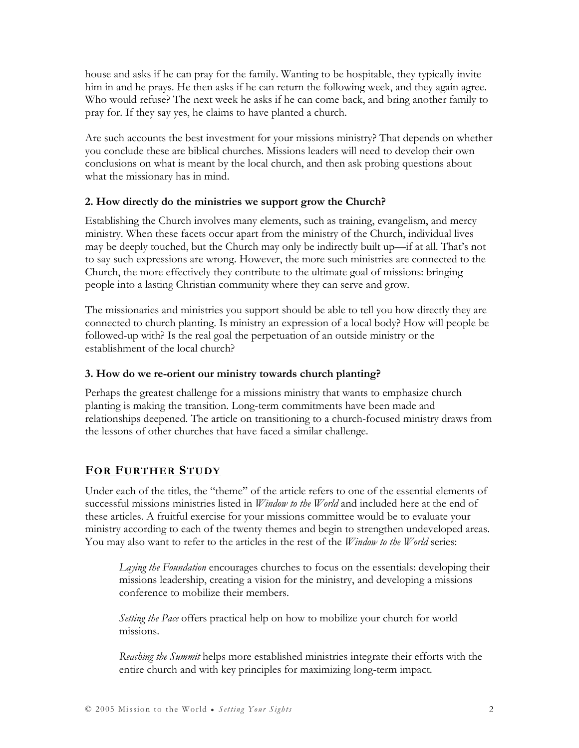house and asks if he can pray for the family. Wanting to be hospitable, they typically invite him in and he prays. He then asks if he can return the following week, and they again agree. Who would refuse? The next week he asks if he can come back, and bring another family to pray for. If they say yes, he claims to have planted a church.

Are such accounts the best investment for your missions ministry? That depends on whether you conclude these are biblical churches. Missions leaders will need to develop their own conclusions on what is meant by the local church, and then ask probing questions about what the missionary has in mind.

### 2. How directly do the ministries we support grow the Church?

Establishing the Church involves many elements, such as training, evangelism, and mercy ministry. When these facets occur apart from the ministry of the Church, individual lives may be deeply touched, but the Church may only be indirectly built up—if at all. That's not to say such expressions are wrong. However, the more such ministries are connected to the Church, the more effectively they contribute to the ultimate goal of missions: bringing people into a lasting Christian community where they can serve and grow.

The missionaries and ministries you support should be able to tell you how directly they are connected to church planting. Is ministry an expression of a local body? How will people be followed-up with? Is the real goal the perpetuation of an outside ministry or the establishment of the local church?

### 3. How do we re-orient our ministry towards church planting?

Perhaps the greatest challenge for a missions ministry that wants to emphasize church planting is making the transition. Long-term commitments have been made and relationships deepened. The article on transitioning to a church-focused ministry draws from the lessons of other churches that have faced a similar challenge.

# FOR FURTHER STUDY

Under each of the titles, the "theme" of the article refers to one of the essential elements of successful missions ministries listed in *Window to the World* and included here at the end of these articles. A fruitful exercise for your missions committee would be to evaluate your ministry according to each of the twenty themes and begin to strengthen undeveloped areas. You may also want to refer to the articles in the rest of the *Window to the World* series:

Laying the Foundation encourages churches to focus on the essentials: developing their missions leadership, creating a vision for the ministry, and developing a missions conference to mobilize their members.

Setting the Pace offers practical help on how to mobilize your church for world missions.

Reaching the Summit helps more established ministries integrate their efforts with the entire church and with key principles for maximizing long-term impact.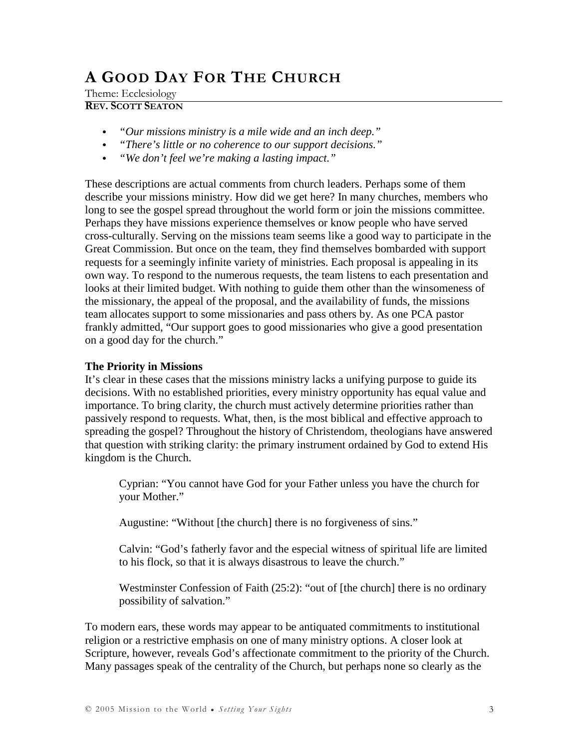# A GOOD DAY FOR THE CHURCH

Theme: Ecclesiology

REV. SCOTT SEATON

- *"Our missions ministry is a mile wide and an inch deep."*
- *"There's little or no coherence to our support decisions."*
- *"We don't feel we're making a lasting impact."*

These descriptions are actual comments from church leaders. Perhaps some of them describe your missions ministry. How did we get here? In many churches, members who long to see the gospel spread throughout the world form or join the missions committee. Perhaps they have missions experience themselves or know people who have served cross-culturally. Serving on the missions team seems like a good way to participate in the Great Commission. But once on the team, they find themselves bombarded with support requests for a seemingly infinite variety of ministries. Each proposal is appealing in its own way. To respond to the numerous requests, the team listens to each presentation and looks at their limited budget. With nothing to guide them other than the winsomeness of the missionary, the appeal of the proposal, and the availability of funds, the missions team allocates support to some missionaries and pass others by. As one PCA pastor frankly admitted, "Our support goes to good missionaries who give a good presentation on a good day for the church."

### **The Priority in Missions**

It's clear in these cases that the missions ministry lacks a unifying purpose to guide its decisions. With no established priorities, every ministry opportunity has equal value and importance. To bring clarity, the church must actively determine priorities rather than passively respond to requests. What, then, is the most biblical and effective approach to spreading the gospel? Throughout the history of Christendom, theologians have answered that question with striking clarity: the primary instrument ordained by God to extend His kingdom is the Church.

Cyprian: "You cannot have God for your Father unless you have the church for your Mother."

Augustine: "Without [the church] there is no forgiveness of sins."

Calvin: "God's fatherly favor and the especial witness of spiritual life are limited to his flock, so that it is always disastrous to leave the church."

Westminster Confession of Faith (25:2): "out of [the church] there is no ordinary possibility of salvation."

To modern ears, these words may appear to be antiquated commitments to institutional religion or a restrictive emphasis on one of many ministry options. A closer look at Scripture, however, reveals God's affectionate commitment to the priority of the Church. Many passages speak of the centrality of the Church, but perhaps none so clearly as the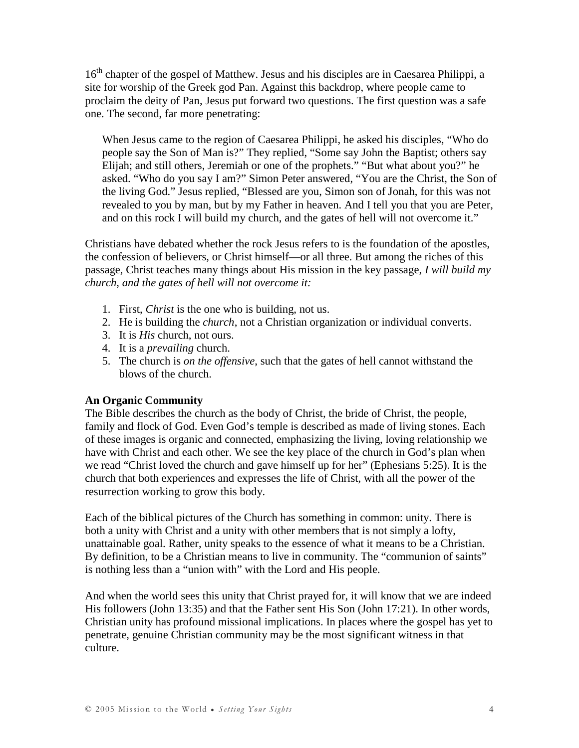16<sup>th</sup> chapter of the gospel of Matthew. Jesus and his disciples are in Caesarea Philippi, a site for worship of the Greek god Pan. Against this backdrop, where people came to proclaim the deity of Pan, Jesus put forward two questions. The first question was a safe one. The second, far more penetrating:

When Jesus came to the region of Caesarea Philippi, he asked his disciples, "Who do people say the Son of Man is?" They replied, "Some say John the Baptist; others say Elijah; and still others, Jeremiah or one of the prophets." "But what about you?" he asked. "Who do you say I am?" Simon Peter answered, "You are the Christ, the Son of the living God." Jesus replied, "Blessed are you, Simon son of Jonah, for this was not revealed to you by man, but by my Father in heaven. And I tell you that you are Peter, and on this rock I will build my church, and the gates of hell will not overcome it."

Christians have debated whether the rock Jesus refers to is the foundation of the apostles, the confession of believers, or Christ himself—or all three. But among the riches of this passage, Christ teaches many things about His mission in the key passage, *I will build my church, and the gates of hell will not overcome it:*

- 1. First, *Christ* is the one who is building, not us.
- 2. He is building the *church*, not a Christian organization or individual converts.
- 3. It is *His* church, not ours.
- 4. It is a *prevailing* church.
- 5. The church is *on the offensive*, such that the gates of hell cannot withstand the blows of the church.

### **An Organic Community**

The Bible describes the church as the body of Christ, the bride of Christ, the people, family and flock of God. Even God's temple is described as made of living stones. Each of these images is organic and connected, emphasizing the living, loving relationship we have with Christ and each other. We see the key place of the church in God's plan when we read "Christ loved the church and gave himself up for her" (Ephesians 5:25). It is the church that both experiences and expresses the life of Christ, with all the power of the resurrection working to grow this body.

Each of the biblical pictures of the Church has something in common: unity. There is both a unity with Christ and a unity with other members that is not simply a lofty, unattainable goal. Rather, unity speaks to the essence of what it means to be a Christian. By definition, to be a Christian means to live in community. The "communion of saints" is nothing less than a "union with" with the Lord and His people.

And when the world sees this unity that Christ prayed for, it will know that we are indeed His followers (John 13:35) and that the Father sent His Son (John 17:21). In other words, Christian unity has profound missional implications. In places where the gospel has yet to penetrate, genuine Christian community may be the most significant witness in that culture.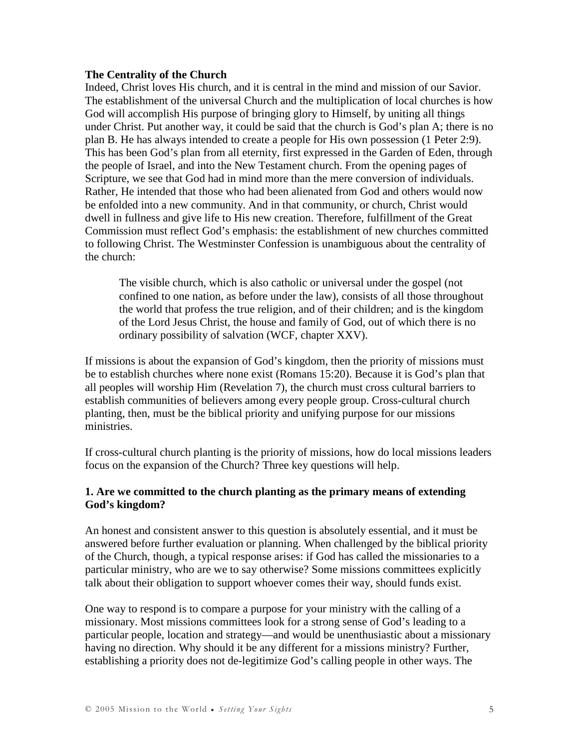### **The Centrality of the Church**

Indeed, Christ loves His church, and it is central in the mind and mission of our Savior. The establishment of the universal Church and the multiplication of local churches is how God will accomplish His purpose of bringing glory to Himself, by uniting all things under Christ. Put another way, it could be said that the church is God's plan A; there is no plan B. He has always intended to create a people for His own possession (1 Peter 2:9). This has been God's plan from all eternity, first expressed in the Garden of Eden, through the people of Israel, and into the New Testament church. From the opening pages of Scripture, we see that God had in mind more than the mere conversion of individuals. Rather, He intended that those who had been alienated from God and others would now be enfolded into a new community. And in that community, or church, Christ would dwell in fullness and give life to His new creation. Therefore, fulfillment of the Great Commission must reflect God's emphasis: the establishment of new churches committed to following Christ. The Westminster Confession is unambiguous about the centrality of the church:

The visible church, which is also catholic or universal under the gospel (not confined to one nation, as before under the law), consists of all those throughout the world that profess the true religion, and of their children; and is the kingdom of the Lord Jesus Christ, the house and family of God, out of which there is no ordinary possibility of salvation (WCF, chapter XXV).

If missions is about the expansion of God's kingdom, then the priority of missions must be to establish churches where none exist (Romans 15:20). Because it is God's plan that all peoples will worship Him (Revelation 7), the church must cross cultural barriers to establish communities of believers among every people group. Cross-cultural church planting, then, must be the biblical priority and unifying purpose for our missions ministries.

If cross-cultural church planting is the priority of missions, how do local missions leaders focus on the expansion of the Church? Three key questions will help.

### **1. Are we committed to the church planting as the primary means of extending God's kingdom?**

An honest and consistent answer to this question is absolutely essential, and it must be answered before further evaluation or planning. When challenged by the biblical priority of the Church, though, a typical response arises: if God has called the missionaries to a particular ministry, who are we to say otherwise? Some missions committees explicitly talk about their obligation to support whoever comes their way, should funds exist.

One way to respond is to compare a purpose for your ministry with the calling of a missionary. Most missions committees look for a strong sense of God's leading to a particular people, location and strategy—and would be unenthusiastic about a missionary having no direction. Why should it be any different for a missions ministry? Further, establishing a priority does not de-legitimize God's calling people in other ways. The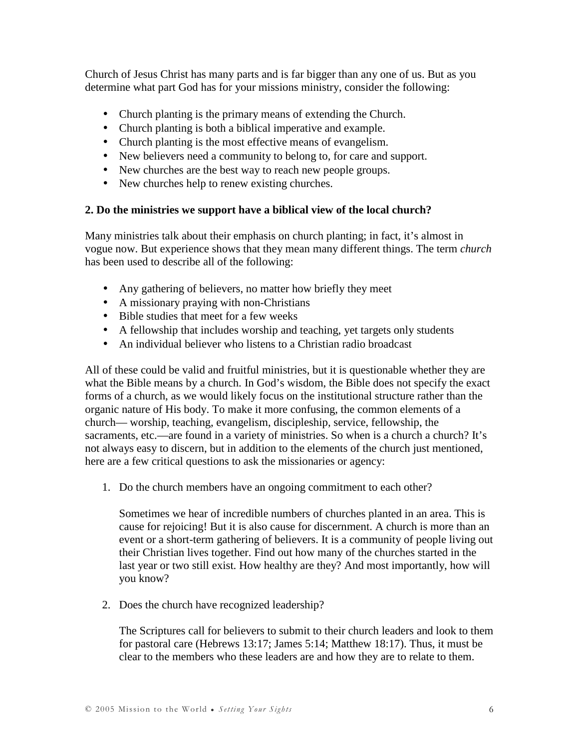Church of Jesus Christ has many parts and is far bigger than any one of us. But as you determine what part God has for your missions ministry, consider the following:

- Church planting is the primary means of extending the Church.
- Church planting is both a biblical imperative and example.
- Church planting is the most effective means of evangelism.
- New believers need a community to belong to, for care and support.
- New churches are the best way to reach new people groups.
- New churches help to renew existing churches.

### **2. Do the ministries we support have a biblical view of the local church?**

Many ministries talk about their emphasis on church planting; in fact, it's almost in vogue now. But experience shows that they mean many different things. The term *church* has been used to describe all of the following:

- Any gathering of believers, no matter how briefly they meet
- A missionary praying with non-Christians
- Bible studies that meet for a few weeks
- A fellowship that includes worship and teaching, yet targets only students
- An individual believer who listens to a Christian radio broadcast

All of these could be valid and fruitful ministries, but it is questionable whether they are what the Bible means by a church. In God's wisdom, the Bible does not specify the exact forms of a church, as we would likely focus on the institutional structure rather than the organic nature of His body. To make it more confusing, the common elements of a church— worship, teaching, evangelism, discipleship, service, fellowship, the sacraments, etc.—are found in a variety of ministries. So when is a church a church? It's not always easy to discern, but in addition to the elements of the church just mentioned, here are a few critical questions to ask the missionaries or agency:

1. Do the church members have an ongoing commitment to each other?

Sometimes we hear of incredible numbers of churches planted in an area. This is cause for rejoicing! But it is also cause for discernment. A church is more than an event or a short-term gathering of believers. It is a community of people living out their Christian lives together. Find out how many of the churches started in the last year or two still exist. How healthy are they? And most importantly, how will you know?

2. Does the church have recognized leadership?

The Scriptures call for believers to submit to their church leaders and look to them for pastoral care (Hebrews 13:17; James 5:14; Matthew 18:17). Thus, it must be clear to the members who these leaders are and how they are to relate to them.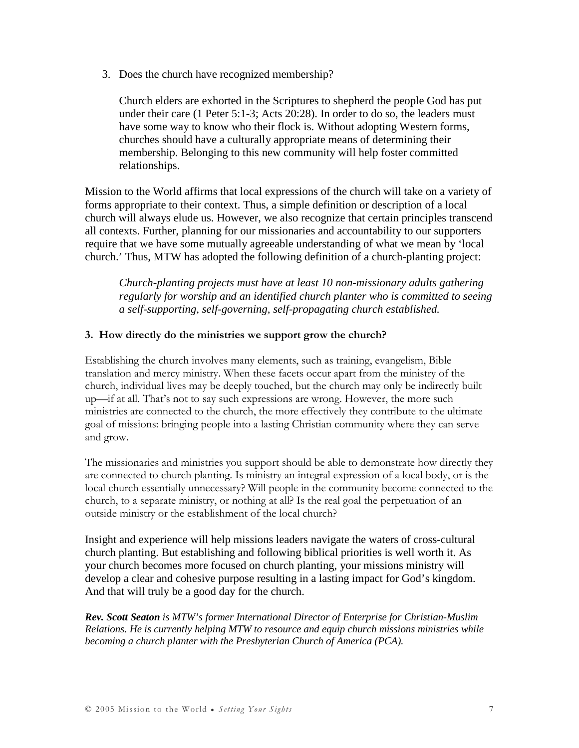3. Does the church have recognized membership?

Church elders are exhorted in the Scriptures to shepherd the people God has put under their care (1 Peter 5:1-3; Acts 20:28). In order to do so, the leaders must have some way to know who their flock is. Without adopting Western forms, churches should have a culturally appropriate means of determining their membership. Belonging to this new community will help foster committed relationships.

Mission to the World affirms that local expressions of the church will take on a variety of forms appropriate to their context. Thus, a simple definition or description of a local church will always elude us. However, we also recognize that certain principles transcend all contexts. Further, planning for our missionaries and accountability to our supporters require that we have some mutually agreeable understanding of what we mean by 'local church.' Thus, MTW has adopted the following definition of a church-planting project:

*Church-planting projects must have at least 10 non-missionary adults gathering regularly for worship and an identified church planter who is committed to seeing a self-supporting, self-governing, self-propagating church established.* 

### 3. How directly do the ministries we support grow the church?

Establishing the church involves many elements, such as training, evangelism, Bible translation and mercy ministry. When these facets occur apart from the ministry of the church, individual lives may be deeply touched, but the church may only be indirectly built up—if at all. That's not to say such expressions are wrong. However, the more such ministries are connected to the church, the more effectively they contribute to the ultimate goal of missions: bringing people into a lasting Christian community where they can serve and grow.

The missionaries and ministries you support should be able to demonstrate how directly they are connected to church planting. Is ministry an integral expression of a local body, or is the local church essentially unnecessary? Will people in the community become connected to the church, to a separate ministry, or nothing at all? Is the real goal the perpetuation of an outside ministry or the establishment of the local church?

Insight and experience will help missions leaders navigate the waters of cross-cultural church planting. But establishing and following biblical priorities is well worth it. As your church becomes more focused on church planting, your missions ministry will develop a clear and cohesive purpose resulting in a lasting impact for God's kingdom. And that will truly be a good day for the church.

*Rev. Scott Seaton is MTW's former International Director of Enterprise for Christian-Muslim Relations. He is currently helping MTW to resource and equip church missions ministries while becoming a church planter with the Presbyterian Church of America (PCA).*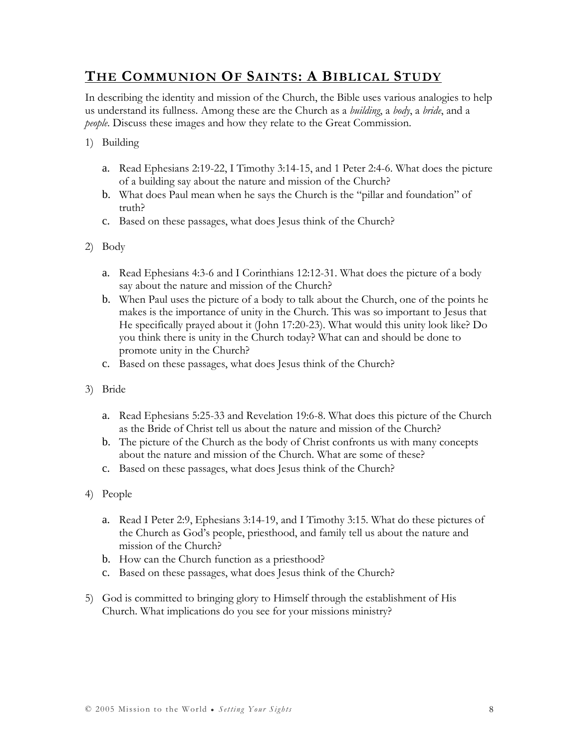# THE COMMUNION OF SAINTS: A BIBLICAL STUDY

In describing the identity and mission of the Church, the Bible uses various analogies to help us understand its fullness. Among these are the Church as a *building*, a *body*, a *bride*, and a people. Discuss these images and how they relate to the Great Commission.

- 1) Building
	- a. Read Ephesians 2:19-22, I Timothy 3:14-15, and 1 Peter 2:4-6. What does the picture of a building say about the nature and mission of the Church?
	- b. What does Paul mean when he says the Church is the "pillar and foundation" of truth?
	- c. Based on these passages, what does Jesus think of the Church?
- 2) Body
	- a. Read Ephesians 4:3-6 and I Corinthians 12:12-31. What does the picture of a body say about the nature and mission of the Church?
	- b. When Paul uses the picture of a body to talk about the Church, one of the points he makes is the importance of unity in the Church. This was so important to Jesus that He specifically prayed about it (John 17:20-23). What would this unity look like? Do you think there is unity in the Church today? What can and should be done to promote unity in the Church?
	- c. Based on these passages, what does Jesus think of the Church?
- 3) Bride
	- a. Read Ephesians 5:25-33 and Revelation 19:6-8. What does this picture of the Church as the Bride of Christ tell us about the nature and mission of the Church?
	- b. The picture of the Church as the body of Christ confronts us with many concepts about the nature and mission of the Church. What are some of these?
	- c. Based on these passages, what does Jesus think of the Church?
- 4) People
	- a. Read I Peter 2:9, Ephesians 3:14-19, and I Timothy 3:15. What do these pictures of the Church as God's people, priesthood, and family tell us about the nature and mission of the Church?
	- b. How can the Church function as a priesthood?
	- c. Based on these passages, what does Jesus think of the Church?
- 5) God is committed to bringing glory to Himself through the establishment of His Church. What implications do you see for your missions ministry?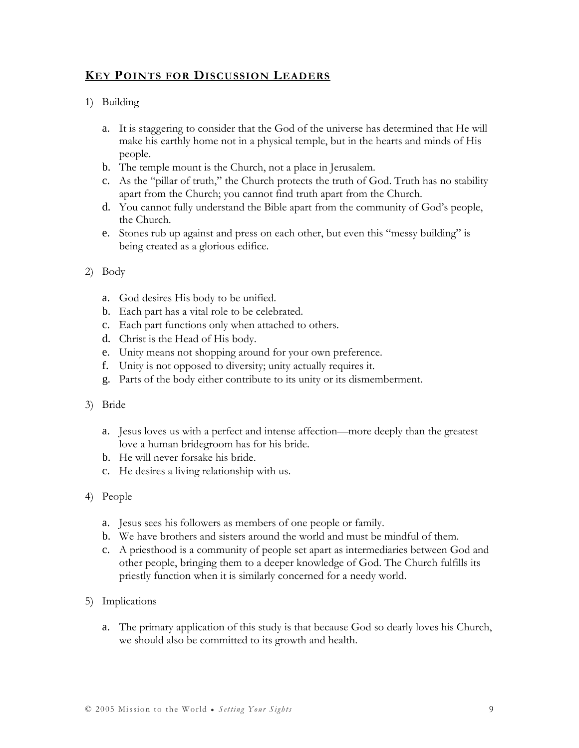### KEY POINTS FOR DISCUSSION LEADERS

- 1) Building
	- a. It is staggering to consider that the God of the universe has determined that He will make his earthly home not in a physical temple, but in the hearts and minds of His people.
	- b. The temple mount is the Church, not a place in Jerusalem.
	- c. As the "pillar of truth," the Church protects the truth of God. Truth has no stability apart from the Church; you cannot find truth apart from the Church.
	- d. You cannot fully understand the Bible apart from the community of God's people, the Church.
	- e. Stones rub up against and press on each other, but even this "messy building" is being created as a glorious edifice.
- 2) Body
	- a. God desires His body to be unified.
	- b. Each part has a vital role to be celebrated.
	- c. Each part functions only when attached to others.
	- d. Christ is the Head of His body.
	- e. Unity means not shopping around for your own preference.
	- f. Unity is not opposed to diversity; unity actually requires it.
	- g. Parts of the body either contribute to its unity or its dismemberment.
- 3) Bride
	- a. Jesus loves us with a perfect and intense affection—more deeply than the greatest love a human bridegroom has for his bride.
	- b. He will never forsake his bride.
	- c. He desires a living relationship with us.
- 4) People
	- a. Jesus sees his followers as members of one people or family.
	- b. We have brothers and sisters around the world and must be mindful of them.
	- c. A priesthood is a community of people set apart as intermediaries between God and other people, bringing them to a deeper knowledge of God. The Church fulfills its priestly function when it is similarly concerned for a needy world.
- 5) Implications
	- a. The primary application of this study is that because God so dearly loves his Church, we should also be committed to its growth and health.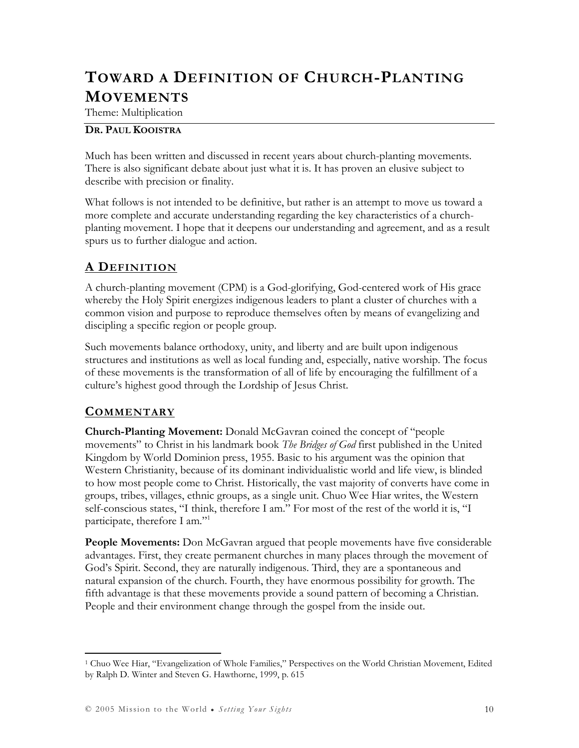# TOWARD A DEFINITION OF CHURCH-PLANTING **MOVEMENTS**

Theme: Multiplication

### DR. PAUL KOOISTRA

Much has been written and discussed in recent years about church-planting movements. There is also significant debate about just what it is. It has proven an elusive subject to describe with precision or finality.

What follows is not intended to be definitive, but rather is an attempt to move us toward a more complete and accurate understanding regarding the key characteristics of a churchplanting movement. I hope that it deepens our understanding and agreement, and as a result spurs us to further dialogue and action.

# A DEFINITION

A church-planting movement (CPM) is a God-glorifying, God-centered work of His grace whereby the Holy Spirit energizes indigenous leaders to plant a cluster of churches with a common vision and purpose to reproduce themselves often by means of evangelizing and discipling a specific region or people group.

Such movements balance orthodoxy, unity, and liberty and are built upon indigenous structures and institutions as well as local funding and, especially, native worship. The focus of these movements is the transformation of all of life by encouraging the fulfillment of a culture's highest good through the Lordship of Jesus Christ.

### **COMMENTARY**

Church-Planting Movement: Donald McGavran coined the concept of "people movements" to Christ in his landmark book *The Bridges of God* first published in the United Kingdom by World Dominion press, 1955. Basic to his argument was the opinion that Western Christianity, because of its dominant individualistic world and life view, is blinded to how most people come to Christ. Historically, the vast majority of converts have come in groups, tribes, villages, ethnic groups, as a single unit. Chuo Wee Hiar writes, the Western self-conscious states, "I think, therefore I am." For most of the rest of the world it is, "I participate, therefore I am."<sup>1</sup>

People Movements: Don McGavran argued that people movements have five considerable advantages. First, they create permanent churches in many places through the movement of God's Spirit. Second, they are naturally indigenous. Third, they are a spontaneous and natural expansion of the church. Fourth, they have enormous possibility for growth. The fifth advantage is that these movements provide a sound pattern of becoming a Christian. People and their environment change through the gospel from the inside out.

 $\overline{a}$ 1 Chuo Wee Hiar, "Evangelization of Whole Families," Perspectives on the World Christian Movement, Edited by Ralph D. Winter and Steven G. Hawthorne, 1999, p. 615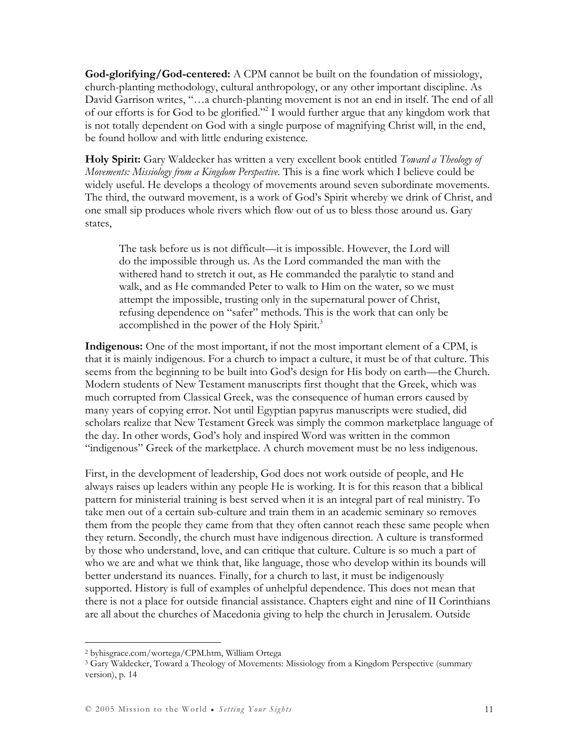God-glorifying/God-centered: A CPM cannot be built on the foundation of missiology, church-planting methodology, cultural anthropology, or any other important discipline. As David Garrison writes, "…a church-planting movement is not an end in itself. The end of all of our efforts is for God to be glorified."<sup>2</sup> I would further argue that any kingdom work that is not totally dependent on God with a single purpose of magnifying Christ will, in the end, be found hollow and with little enduring existence.

**Holy Spirit:** Gary Waldecker has written a very excellent book entitled Toward a Theology of Movements: Missiology from a Kingdom Perspective. This is a fine work which I believe could be widely useful. He develops a theology of movements around seven subordinate movements. The third, the outward movement, is a work of God's Spirit whereby we drink of Christ, and one small sip produces whole rivers which flow out of us to bless those around us. Gary states,

The task before us is not difficult—it is impossible. However, the Lord will do the impossible through us. As the Lord commanded the man with the withered hand to stretch it out, as He commanded the paralytic to stand and walk, and as He commanded Peter to walk to Him on the water, so we must attempt the impossible, trusting only in the supernatural power of Christ, refusing dependence on "safer" methods. This is the work that can only be accomplished in the power of the Holy Spirit.<sup>3</sup>

Indigenous: One of the most important, if not the most important element of a CPM, is that it is mainly indigenous. For a church to impact a culture, it must be of that culture. This seems from the beginning to be built into God's design for His body on earth—the Church. Modern students of New Testament manuscripts first thought that the Greek, which was much corrupted from Classical Greek, was the consequence of human errors caused by many years of copying error. Not until Egyptian papyrus manuscripts were studied, did scholars realize that New Testament Greek was simply the common marketplace language of the day. In other words, God's holy and inspired Word was written in the common "indigenous" Greek of the marketplace. A church movement must be no less indigenous.

First, in the development of leadership, God does not work outside of people, and He always raises up leaders within any people He is working. It is for this reason that a biblical pattern for ministerial training is best served when it is an integral part of real ministry. To take men out of a certain sub-culture and train them in an academic seminary so removes them from the people they came from that they often cannot reach these same people when they return. Secondly, the church must have indigenous direction. A culture is transformed by those who understand, love, and can critique that culture. Culture is so much a part of who we are and what we think that, like language, those who develop within its bounds will better understand its nuances. Finally, for a church to last, it must be indigenously supported. History is full of examples of unhelpful dependence. This does not mean that there is not a place for outside financial assistance. Chapters eight and nine of II Corinthians are all about the churches of Macedonia giving to help the church in Jerusalem. Outside

 $\overline{a}$ 

<sup>2</sup> byhisgrace.com/wortega/CPM.htm, William Ortega

<sup>3</sup> Gary Waldecker, Toward a Theology of Movements: Missiology from a Kingdom Perspective (summary version), p. 14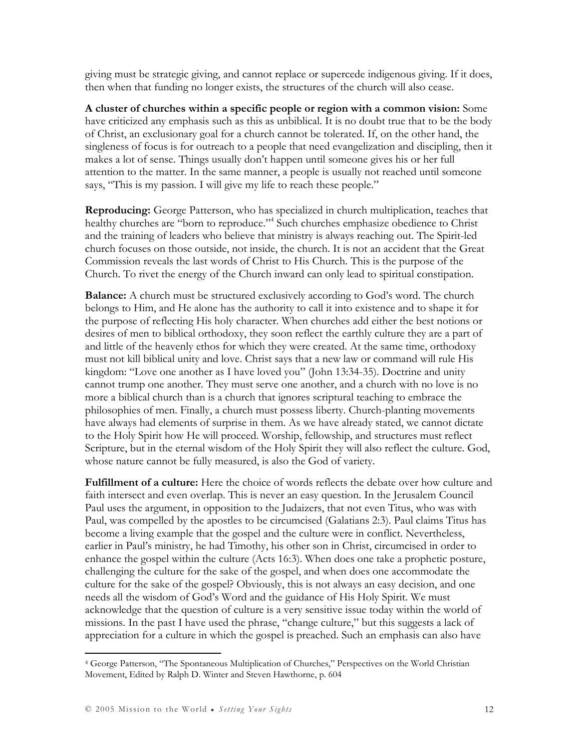giving must be strategic giving, and cannot replace or supercede indigenous giving. If it does, then when that funding no longer exists, the structures of the church will also cease.

A cluster of churches within a specific people or region with a common vision: Some have criticized any emphasis such as this as unbiblical. It is no doubt true that to be the body of Christ, an exclusionary goal for a church cannot be tolerated. If, on the other hand, the singleness of focus is for outreach to a people that need evangelization and discipling, then it makes a lot of sense. Things usually don't happen until someone gives his or her full attention to the matter. In the same manner, a people is usually not reached until someone says, "This is my passion. I will give my life to reach these people."

Reproducing: George Patterson, who has specialized in church multiplication, teaches that healthy churches are "born to reproduce."<sup>4</sup> Such churches emphasize obedience to Christ and the training of leaders who believe that ministry is always reaching out. The Spirit-led church focuses on those outside, not inside, the church. It is not an accident that the Great Commission reveals the last words of Christ to His Church. This is the purpose of the Church. To rivet the energy of the Church inward can only lead to spiritual constipation.

Balance: A church must be structured exclusively according to God's word. The church belongs to Him, and He alone has the authority to call it into existence and to shape it for the purpose of reflecting His holy character. When churches add either the best notions or desires of men to biblical orthodoxy, they soon reflect the earthly culture they are a part of and little of the heavenly ethos for which they were created. At the same time, orthodoxy must not kill biblical unity and love. Christ says that a new law or command will rule His kingdom: "Love one another as I have loved you" (John 13:34-35). Doctrine and unity cannot trump one another. They must serve one another, and a church with no love is no more a biblical church than is a church that ignores scriptural teaching to embrace the philosophies of men. Finally, a church must possess liberty. Church-planting movements have always had elements of surprise in them. As we have already stated, we cannot dictate to the Holy Spirit how He will proceed. Worship, fellowship, and structures must reflect Scripture, but in the eternal wisdom of the Holy Spirit they will also reflect the culture. God, whose nature cannot be fully measured, is also the God of variety.

Fulfillment of a culture: Here the choice of words reflects the debate over how culture and faith intersect and even overlap. This is never an easy question. In the Jerusalem Council Paul uses the argument, in opposition to the Judaizers, that not even Titus, who was with Paul, was compelled by the apostles to be circumcised (Galatians 2:3). Paul claims Titus has become a living example that the gospel and the culture were in conflict. Nevertheless, earlier in Paul's ministry, he had Timothy, his other son in Christ, circumcised in order to enhance the gospel within the culture (Acts 16:3). When does one take a prophetic posture, challenging the culture for the sake of the gospel, and when does one accommodate the culture for the sake of the gospel? Obviously, this is not always an easy decision, and one needs all the wisdom of God's Word and the guidance of His Holy Spirit. We must acknowledge that the question of culture is a very sensitive issue today within the world of missions. In the past I have used the phrase, "change culture," but this suggests a lack of appreciation for a culture in which the gospel is preached. Such an emphasis can also have

 $\overline{a}$ 

<sup>4</sup> George Patterson, "The Spontaneous Multiplication of Churches," Perspectives on the World Christian Movement, Edited by Ralph D. Winter and Steven Hawthorne, p. 604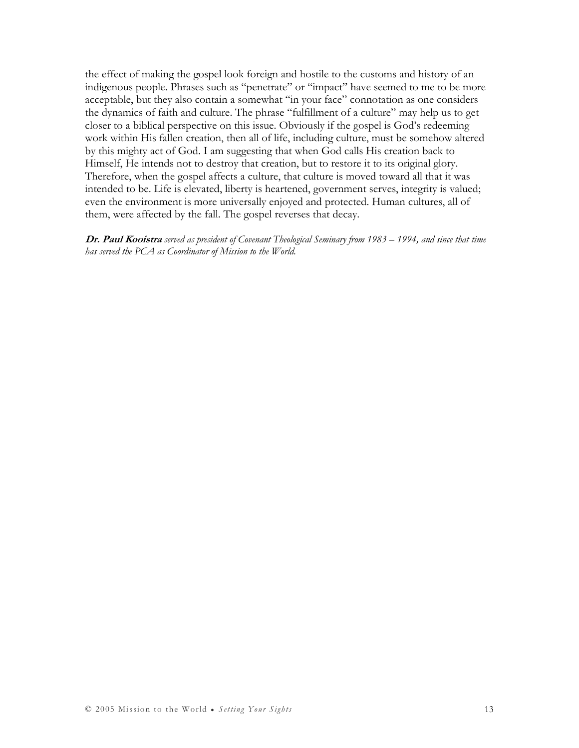the effect of making the gospel look foreign and hostile to the customs and history of an indigenous people. Phrases such as "penetrate" or "impact" have seemed to me to be more acceptable, but they also contain a somewhat "in your face" connotation as one considers the dynamics of faith and culture. The phrase "fulfillment of a culture" may help us to get closer to a biblical perspective on this issue. Obviously if the gospel is God's redeeming work within His fallen creation, then all of life, including culture, must be somehow altered by this mighty act of God. I am suggesting that when God calls His creation back to Himself, He intends not to destroy that creation, but to restore it to its original glory. Therefore, when the gospel affects a culture, that culture is moved toward all that it was intended to be. Life is elevated, liberty is heartened, government serves, integrity is valued; even the environment is more universally enjoyed and protected. Human cultures, all of them, were affected by the fall. The gospel reverses that decay.

Dr. Paul Kooistra served as president of Covenant Theological Seminary from 1983 – 1994, and since that time has served the PCA as Coordinator of Mission to the World.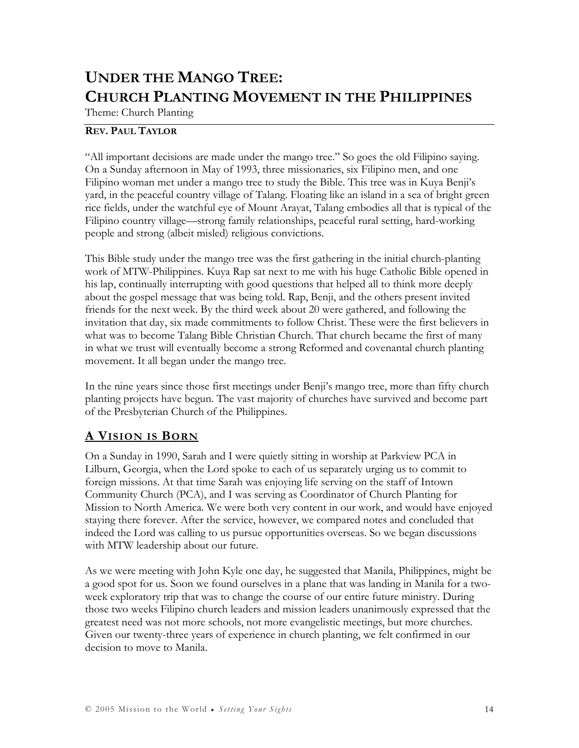# UNDER THE MANGO TREE: CHURCH PLANTING MOVEMENT IN THE PHILIPPINES

Theme: Church Planting

### REV. PAUL TAYLOR

"All important decisions are made under the mango tree." So goes the old Filipino saying. On a Sunday afternoon in May of 1993, three missionaries, six Filipino men, and one Filipino woman met under a mango tree to study the Bible. This tree was in Kuya Benji's yard, in the peaceful country village of Talang. Floating like an island in a sea of bright green rice fields, under the watchful eye of Mount Arayat, Talang embodies all that is typical of the Filipino country village—strong family relationships, peaceful rural setting, hard-working people and strong (albeit misled) religious convictions.

This Bible study under the mango tree was the first gathering in the initial church-planting work of MTW-Philippines. Kuya Rap sat next to me with his huge Catholic Bible opened in his lap, continually interrupting with good questions that helped all to think more deeply about the gospel message that was being told. Rap, Benji, and the others present invited friends for the next week. By the third week about 20 were gathered, and following the invitation that day, six made commitments to follow Christ. These were the first believers in what was to become Talang Bible Christian Church. That church became the first of many in what we trust will eventually become a strong Reformed and covenantal church planting movement. It all began under the mango tree.

In the nine years since those first meetings under Benji's mango tree, more than fifty church planting projects have begun. The vast majority of churches have survived and become part of the Presbyterian Church of the Philippines.

# A VISION IS BORN

On a Sunday in 1990, Sarah and I were quietly sitting in worship at Parkview PCA in Lilburn, Georgia, when the Lord spoke to each of us separately urging us to commit to foreign missions. At that time Sarah was enjoying life serving on the staff of Intown Community Church (PCA), and I was serving as Coordinator of Church Planting for Mission to North America. We were both very content in our work, and would have enjoyed staying there forever. After the service, however, we compared notes and concluded that indeed the Lord was calling to us pursue opportunities overseas. So we began discussions with MTW leadership about our future.

As we were meeting with John Kyle one day, he suggested that Manila, Philippines, might be a good spot for us. Soon we found ourselves in a plane that was landing in Manila for a twoweek exploratory trip that was to change the course of our entire future ministry. During those two weeks Filipino church leaders and mission leaders unanimously expressed that the greatest need was not more schools, not more evangelistic meetings, but more churches. Given our twenty-three years of experience in church planting, we felt confirmed in our decision to move to Manila.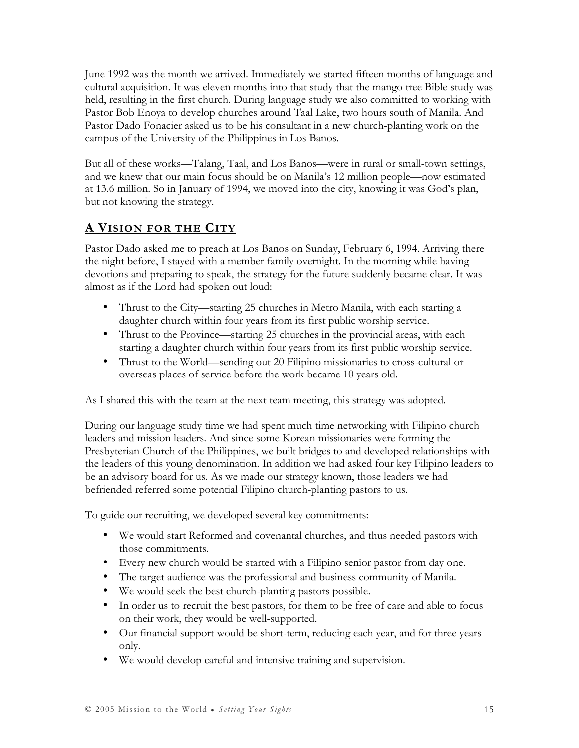June 1992 was the month we arrived. Immediately we started fifteen months of language and cultural acquisition. It was eleven months into that study that the mango tree Bible study was held, resulting in the first church. During language study we also committed to working with Pastor Bob Enoya to develop churches around Taal Lake, two hours south of Manila. And Pastor Dado Fonacier asked us to be his consultant in a new church-planting work on the campus of the University of the Philippines in Los Banos.

But all of these works—Talang, Taal, and Los Banos—were in rural or small-town settings, and we knew that our main focus should be on Manila's 12 million people—now estimated at 13.6 million. So in January of 1994, we moved into the city, knowing it was God's plan, but not knowing the strategy.

# A VISION FOR THE CITY

Pastor Dado asked me to preach at Los Banos on Sunday, February 6, 1994. Arriving there the night before, I stayed with a member family overnight. In the morning while having devotions and preparing to speak, the strategy for the future suddenly became clear. It was almost as if the Lord had spoken out loud:

- Thrust to the City—starting 25 churches in Metro Manila, with each starting a daughter church within four years from its first public worship service.
- Thrust to the Province—starting 25 churches in the provincial areas, with each starting a daughter church within four years from its first public worship service.
- Thrust to the World—sending out 20 Filipino missionaries to cross-cultural or overseas places of service before the work became 10 years old.

As I shared this with the team at the next team meeting, this strategy was adopted.

During our language study time we had spent much time networking with Filipino church leaders and mission leaders. And since some Korean missionaries were forming the Presbyterian Church of the Philippines, we built bridges to and developed relationships with the leaders of this young denomination. In addition we had asked four key Filipino leaders to be an advisory board for us. As we made our strategy known, those leaders we had befriended referred some potential Filipino church-planting pastors to us.

To guide our recruiting, we developed several key commitments:

- We would start Reformed and covenantal churches, and thus needed pastors with those commitments.
- Every new church would be started with a Filipino senior pastor from day one.
- The target audience was the professional and business community of Manila.
- We would seek the best church-planting pastors possible.
- In order us to recruit the best pastors, for them to be free of care and able to focus on their work, they would be well-supported.
- Our financial support would be short-term, reducing each year, and for three years only.
- We would develop careful and intensive training and supervision.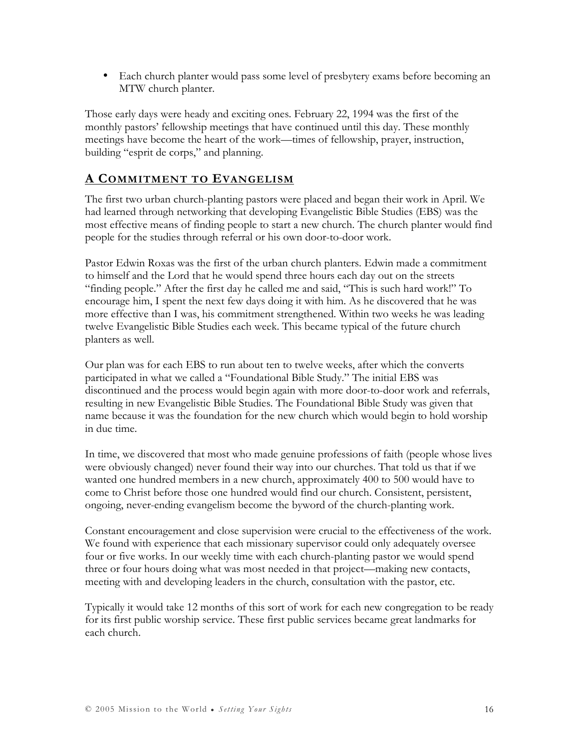• Each church planter would pass some level of presbytery exams before becoming an MTW church planter.

Those early days were heady and exciting ones. February 22, 1994 was the first of the monthly pastors' fellowship meetings that have continued until this day. These monthly meetings have become the heart of the work—times of fellowship, prayer, instruction, building "esprit de corps," and planning.

### **A COMMITMENT TO EVANGELISM**

The first two urban church-planting pastors were placed and began their work in April. We had learned through networking that developing Evangelistic Bible Studies (EBS) was the most effective means of finding people to start a new church. The church planter would find people for the studies through referral or his own door-to-door work.

Pastor Edwin Roxas was the first of the urban church planters. Edwin made a commitment to himself and the Lord that he would spend three hours each day out on the streets "finding people." After the first day he called me and said, "This is such hard work!" To encourage him, I spent the next few days doing it with him. As he discovered that he was more effective than I was, his commitment strengthened. Within two weeks he was leading twelve Evangelistic Bible Studies each week. This became typical of the future church planters as well.

Our plan was for each EBS to run about ten to twelve weeks, after which the converts participated in what we called a "Foundational Bible Study." The initial EBS was discontinued and the process would begin again with more door-to-door work and referrals, resulting in new Evangelistic Bible Studies. The Foundational Bible Study was given that name because it was the foundation for the new church which would begin to hold worship in due time.

In time, we discovered that most who made genuine professions of faith (people whose lives were obviously changed) never found their way into our churches. That told us that if we wanted one hundred members in a new church, approximately 400 to 500 would have to come to Christ before those one hundred would find our church. Consistent, persistent, ongoing, never-ending evangelism become the byword of the church-planting work.

Constant encouragement and close supervision were crucial to the effectiveness of the work. We found with experience that each missionary supervisor could only adequately oversee four or five works. In our weekly time with each church-planting pastor we would spend three or four hours doing what was most needed in that project—making new contacts, meeting with and developing leaders in the church, consultation with the pastor, etc.

Typically it would take 12 months of this sort of work for each new congregation to be ready for its first public worship service. These first public services became great landmarks for each church.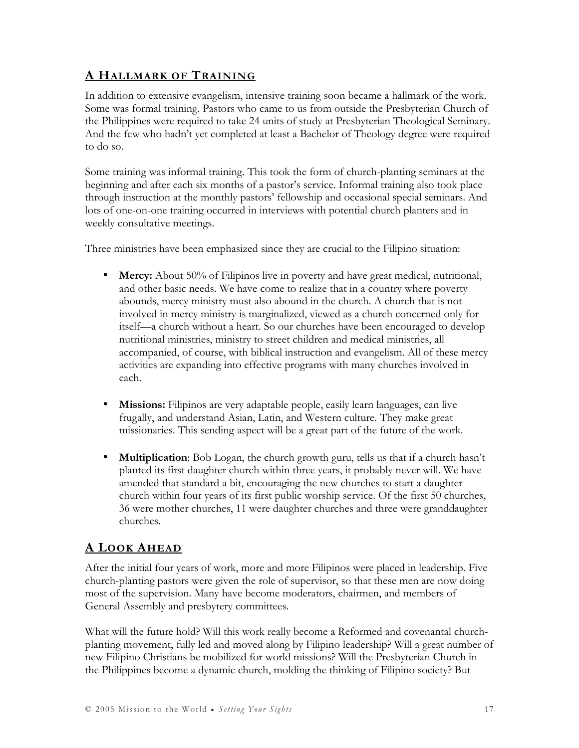## A HALLMARK OF TRAINING

In addition to extensive evangelism, intensive training soon became a hallmark of the work. Some was formal training. Pastors who came to us from outside the Presbyterian Church of the Philippines were required to take 24 units of study at Presbyterian Theological Seminary. And the few who hadn't yet completed at least a Bachelor of Theology degree were required to do so.

Some training was informal training. This took the form of church-planting seminars at the beginning and after each six months of a pastor's service. Informal training also took place through instruction at the monthly pastors' fellowship and occasional special seminars. And lots of one-on-one training occurred in interviews with potential church planters and in weekly consultative meetings.

Three ministries have been emphasized since they are crucial to the Filipino situation:

- Mercy: About 50% of Filipinos live in poverty and have great medical, nutritional, and other basic needs. We have come to realize that in a country where poverty abounds, mercy ministry must also abound in the church. A church that is not involved in mercy ministry is marginalized, viewed as a church concerned only for itself—a church without a heart. So our churches have been encouraged to develop nutritional ministries, ministry to street children and medical ministries, all accompanied, of course, with biblical instruction and evangelism. All of these mercy activities are expanding into effective programs with many churches involved in each.
- Missions: Filipinos are very adaptable people, easily learn languages, can live frugally, and understand Asian, Latin, and Western culture. They make great missionaries. This sending aspect will be a great part of the future of the work.
- **Multiplication**: Bob Logan, the church growth guru, tells us that if a church hasn't planted its first daughter church within three years, it probably never will. We have amended that standard a bit, encouraging the new churches to start a daughter church within four years of its first public worship service. Of the first 50 churches, 36 were mother churches, 11 were daughter churches and three were granddaughter churches.

# A LOOK AHEAD

After the initial four years of work, more and more Filipinos were placed in leadership. Five church-planting pastors were given the role of supervisor, so that these men are now doing most of the supervision. Many have become moderators, chairmen, and members of General Assembly and presbytery committees.

What will the future hold? Will this work really become a Reformed and covenantal churchplanting movement, fully led and moved along by Filipino leadership? Will a great number of new Filipino Christians be mobilized for world missions? Will the Presbyterian Church in the Philippines become a dynamic church, molding the thinking of Filipino society? But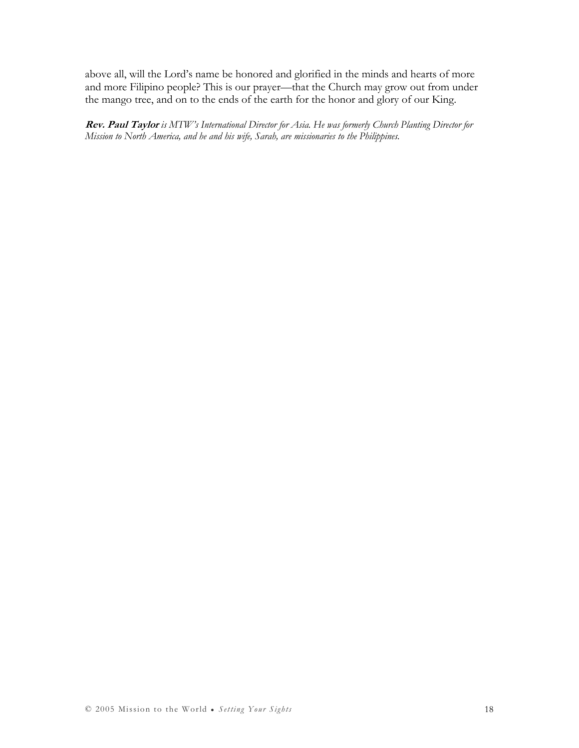above all, will the Lord's name be honored and glorified in the minds and hearts of more and more Filipino people? This is our prayer—that the Church may grow out from under the mango tree, and on to the ends of the earth for the honor and glory of our King.

Rev. Paul Taylor is MTW's International Director for Asia. He was formerly Church Planting Director for Mission to North America, and he and his wife, Sarah, are missionaries to the Philippines.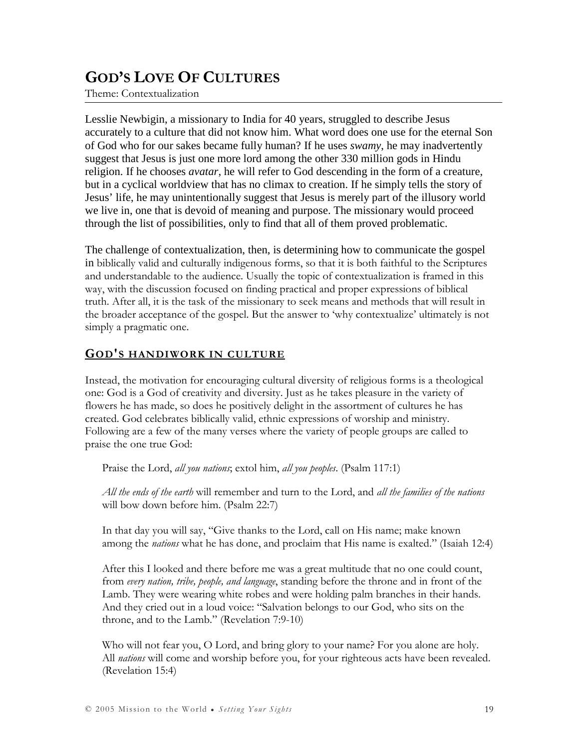# GOD'S LOVE OF CULTURES

Theme: Contextualization

Lesslie Newbigin, a missionary to India for 40 years, struggled to describe Jesus accurately to a culture that did not know him. What word does one use for the eternal Son of God who for our sakes became fully human? If he uses *swamy*, he may inadvertently suggest that Jesus is just one more lord among the other 330 million gods in Hindu religion. If he chooses *avatar*, he will refer to God descending in the form of a creature, but in a cyclical worldview that has no climax to creation. If he simply tells the story of Jesus' life, he may unintentionally suggest that Jesus is merely part of the illusory world we live in, one that is devoid of meaning and purpose. The missionary would proceed through the list of possibilities, only to find that all of them proved problematic.

The challenge of contextualization, then, is determining how to communicate the gospel in biblically valid and culturally indigenous forms, so that it is both faithful to the Scriptures and understandable to the audience. Usually the topic of contextualization is framed in this way, with the discussion focused on finding practical and proper expressions of biblical truth. After all, it is the task of the missionary to seek means and methods that will result in the broader acceptance of the gospel. But the answer to 'why contextualize' ultimately is not simply a pragmatic one.

### GOD'S HANDIWORK IN CULTURE

Instead, the motivation for encouraging cultural diversity of religious forms is a theological one: God is a God of creativity and diversity. Just as he takes pleasure in the variety of flowers he has made, so does he positively delight in the assortment of cultures he has created. God celebrates biblically valid, ethnic expressions of worship and ministry. Following are a few of the many verses where the variety of people groups are called to praise the one true God:

Praise the Lord, all you nations; extol him, all you peoples. (Psalm 117:1)

All the ends of the earth will remember and turn to the Lord, and all the families of the nations will bow down before him. (Psalm 22:7)

In that day you will say, "Give thanks to the Lord, call on His name; make known among the *nations* what he has done, and proclaim that His name is exalted." (Isaiah 12:4)

After this I looked and there before me was a great multitude that no one could count, from every nation, tribe, people, and language, standing before the throne and in front of the Lamb. They were wearing white robes and were holding palm branches in their hands. And they cried out in a loud voice: "Salvation belongs to our God, who sits on the throne, and to the Lamb." (Revelation 7:9-10)

Who will not fear you, O Lord, and bring glory to your name? For you alone are holy. All nations will come and worship before you, for your righteous acts have been revealed. (Revelation 15:4)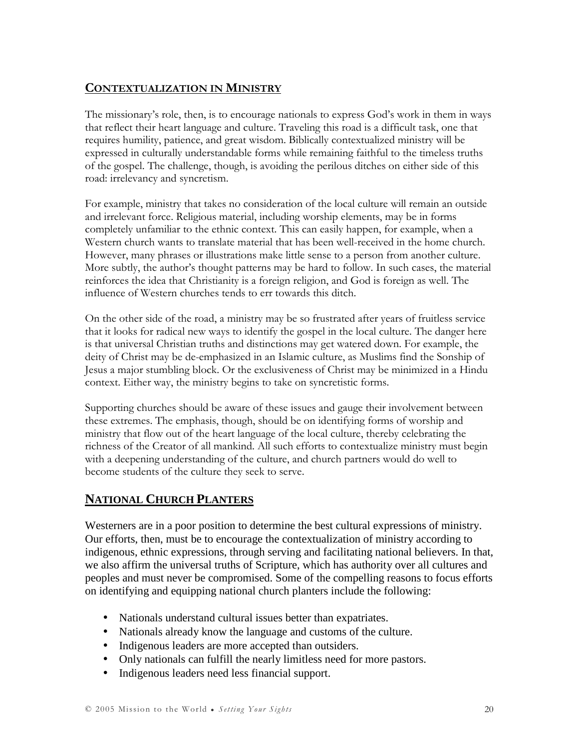### CONTEXTUALIZATION IN MINISTRY

The missionary's role, then, is to encourage nationals to express God's work in them in ways that reflect their heart language and culture. Traveling this road is a difficult task, one that requires humility, patience, and great wisdom. Biblically contextualized ministry will be expressed in culturally understandable forms while remaining faithful to the timeless truths of the gospel. The challenge, though, is avoiding the perilous ditches on either side of this road: irrelevancy and syncretism.

For example, ministry that takes no consideration of the local culture will remain an outside and irrelevant force. Religious material, including worship elements, may be in forms completely unfamiliar to the ethnic context. This can easily happen, for example, when a Western church wants to translate material that has been well-received in the home church. However, many phrases or illustrations make little sense to a person from another culture. More subtly, the author's thought patterns may be hard to follow. In such cases, the material reinforces the idea that Christianity is a foreign religion, and God is foreign as well. The influence of Western churches tends to err towards this ditch.

On the other side of the road, a ministry may be so frustrated after years of fruitless service that it looks for radical new ways to identify the gospel in the local culture. The danger here is that universal Christian truths and distinctions may get watered down. For example, the deity of Christ may be de-emphasized in an Islamic culture, as Muslims find the Sonship of Jesus a major stumbling block. Or the exclusiveness of Christ may be minimized in a Hindu context. Either way, the ministry begins to take on syncretistic forms.

Supporting churches should be aware of these issues and gauge their involvement between these extremes. The emphasis, though, should be on identifying forms of worship and ministry that flow out of the heart language of the local culture, thereby celebrating the richness of the Creator of all mankind. All such efforts to contextualize ministry must begin with a deepening understanding of the culture, and church partners would do well to become students of the culture they seek to serve.

### **NATIONAL CHURCH PLANTERS**

Westerners are in a poor position to determine the best cultural expressions of ministry. Our efforts, then, must be to encourage the contextualization of ministry according to indigenous, ethnic expressions, through serving and facilitating national believers. In that, we also affirm the universal truths of Scripture, which has authority over all cultures and peoples and must never be compromised. Some of the compelling reasons to focus efforts on identifying and equipping national church planters include the following:

- Nationals understand cultural issues better than expatriates.
- Nationals already know the language and customs of the culture.
- Indigenous leaders are more accepted than outsiders.
- Only nationals can fulfill the nearly limitless need for more pastors.
- Indigenous leaders need less financial support.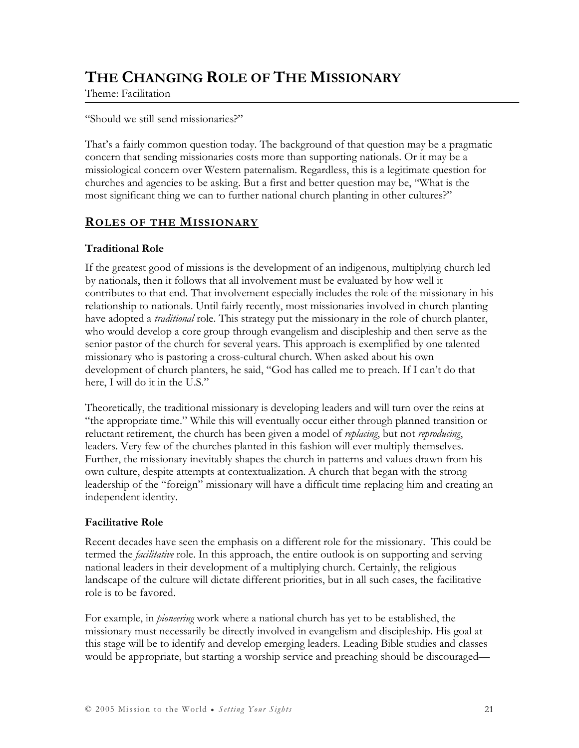# THE CHANGING ROLE OF THE MISSIONARY

Theme: Facilitation

"Should we still send missionaries?"

That's a fairly common question today. The background of that question may be a pragmatic concern that sending missionaries costs more than supporting nationals. Or it may be a missiological concern over Western paternalism. Regardless, this is a legitimate question for churches and agencies to be asking. But a first and better question may be, "What is the most significant thing we can to further national church planting in other cultures?"

### ROLES OF THE MISSIONARY

### Traditional Role

If the greatest good of missions is the development of an indigenous, multiplying church led by nationals, then it follows that all involvement must be evaluated by how well it contributes to that end. That involvement especially includes the role of the missionary in his relationship to nationals. Until fairly recently, most missionaries involved in church planting have adopted a *traditional* role. This strategy put the missionary in the role of church planter, who would develop a core group through evangelism and discipleship and then serve as the senior pastor of the church for several years. This approach is exemplified by one talented missionary who is pastoring a cross-cultural church. When asked about his own development of church planters, he said, "God has called me to preach. If I can't do that here, I will do it in the U.S."

Theoretically, the traditional missionary is developing leaders and will turn over the reins at "the appropriate time." While this will eventually occur either through planned transition or reluctant retirement, the church has been given a model of *replacing*, but not *reproducing*, leaders. Very few of the churches planted in this fashion will ever multiply themselves. Further, the missionary inevitably shapes the church in patterns and values drawn from his own culture, despite attempts at contextualization. A church that began with the strong leadership of the "foreign" missionary will have a difficult time replacing him and creating an independent identity.

### Facilitative Role

Recent decades have seen the emphasis on a different role for the missionary. This could be termed the *facilitative* role. In this approach, the entire outlook is on supporting and serving national leaders in their development of a multiplying church. Certainly, the religious landscape of the culture will dictate different priorities, but in all such cases, the facilitative role is to be favored.

For example, in *pioneering* work where a national church has yet to be established, the missionary must necessarily be directly involved in evangelism and discipleship. His goal at this stage will be to identify and develop emerging leaders. Leading Bible studies and classes would be appropriate, but starting a worship service and preaching should be discouraged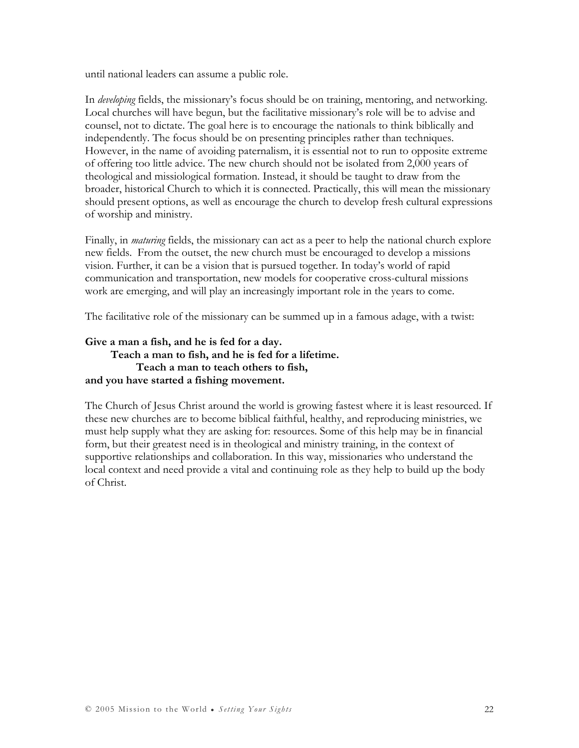until national leaders can assume a public role.

In *developing* fields, the missionary's focus should be on training, mentoring, and networking. Local churches will have begun, but the facilitative missionary's role will be to advise and counsel, not to dictate. The goal here is to encourage the nationals to think biblically and independently. The focus should be on presenting principles rather than techniques. However, in the name of avoiding paternalism, it is essential not to run to opposite extreme of offering too little advice. The new church should not be isolated from 2,000 years of theological and missiological formation. Instead, it should be taught to draw from the broader, historical Church to which it is connected. Practically, this will mean the missionary should present options, as well as encourage the church to develop fresh cultural expressions of worship and ministry.

Finally, in *maturing* fields, the missionary can act as a peer to help the national church explore new fields. From the outset, the new church must be encouraged to develop a missions vision. Further, it can be a vision that is pursued together. In today's world of rapid communication and transportation, new models for cooperative cross-cultural missions work are emerging, and will play an increasingly important role in the years to come.

The facilitative role of the missionary can be summed up in a famous adage, with a twist:

### Give a man a fish, and he is fed for a day. Teach a man to fish, and he is fed for a lifetime. Teach a man to teach others to fish, and you have started a fishing movement.

The Church of Jesus Christ around the world is growing fastest where it is least resourced. If these new churches are to become biblical faithful, healthy, and reproducing ministries, we must help supply what they are asking for: resources. Some of this help may be in financial form, but their greatest need is in theological and ministry training, in the context of supportive relationships and collaboration. In this way, missionaries who understand the local context and need provide a vital and continuing role as they help to build up the body of Christ.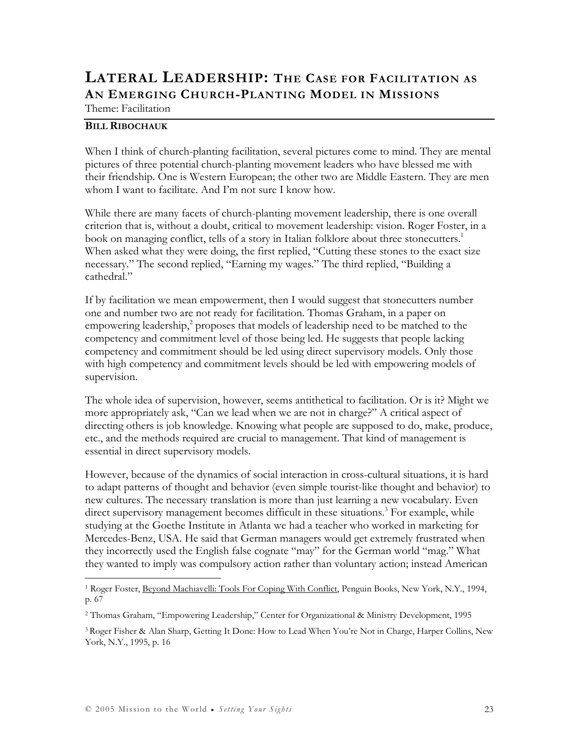# LATERAL LEADERSHIP: THE CASE FOR FACILITATION AS AN EMERGING CHURCH-PLANTING MODEL IN MISSIONS

Theme: Facilitation

### BILL RIBOCHAUK

When I think of church-planting facilitation, several pictures come to mind. They are mental pictures of three potential church-planting movement leaders who have blessed me with their friendship. One is Western European; the other two are Middle Eastern. They are men whom I want to facilitate. And I'm not sure I know how.

While there are many facets of church-planting movement leadership, there is one overall criterion that is, without a doubt, critical to movement leadership: vision. Roger Foster, in a book on managing conflict, tells of a story in Italian folklore about three stonecutters.<sup>1</sup> When asked what they were doing, the first replied, "Cutting these stones to the exact size necessary." The second replied, "Earning my wages." The third replied, "Building a cathedral."

If by facilitation we mean empowerment, then I would suggest that stonecutters number one and number two are not ready for facilitation. Thomas Graham, in a paper on empowering leadership,<sup>2</sup> proposes that models of leadership need to be matched to the competency and commitment level of those being led. He suggests that people lacking competency and commitment should be led using direct supervisory models. Only those with high competency and commitment levels should be led with empowering models of supervision.

The whole idea of supervision, however, seems antithetical to facilitation. Or is it? Might we more appropriately ask, "Can we lead when we are not in charge?" A critical aspect of directing others is job knowledge. Knowing what people are supposed to do, make, produce, etc., and the methods required are crucial to management. That kind of management is essential in direct supervisory models.

However, because of the dynamics of social interaction in cross-cultural situations, it is hard to adapt patterns of thought and behavior (even simple tourist-like thought and behavior) to new cultures. The necessary translation is more than just learning a new vocabulary. Even direct supervisory management becomes difficult in these situations.<sup>3</sup> For example, while studying at the Goethe Institute in Atlanta we had a teacher who worked in marketing for Mercedes-Benz, USA. He said that German managers would get extremely frustrated when they incorrectly used the English false cognate "may" for the German world "mag." What they wanted to imply was compulsory action rather than voluntary action; instead American

 $\overline{a}$ <sup>1</sup> Roger Foster, <u>Beyond Machiavelli: Tools For Coping With Conflict</u>, Penguin Books, New York, N.Y., 1994, p. 67

<sup>2</sup> Thomas Graham, "Empowering Leadership," Center for Organizational & Ministry Development, 1995

<sup>3</sup>Roger Fisher & Alan Sharp, Getting It Done: How to Lead When You're Not in Charge, Harper Collins, New York, N.Y., 1995, p. 16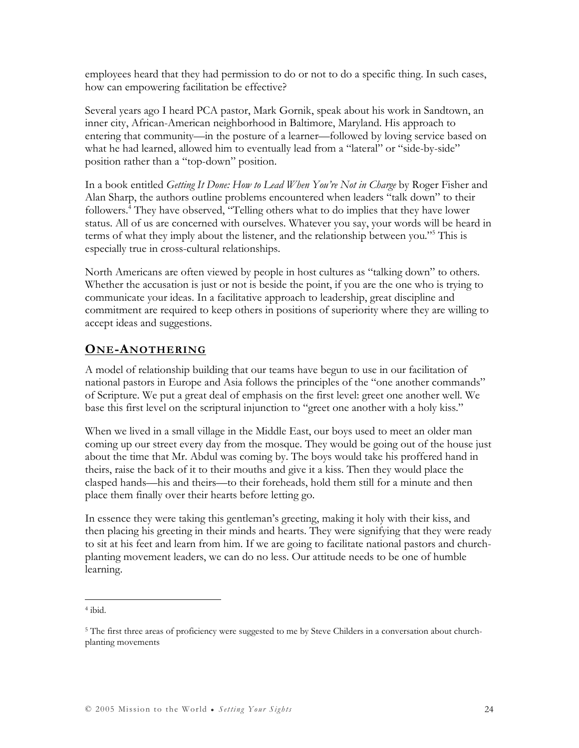employees heard that they had permission to do or not to do a specific thing. In such cases, how can empowering facilitation be effective?

Several years ago I heard PCA pastor, Mark Gornik, speak about his work in Sandtown, an inner city, African-American neighborhood in Baltimore, Maryland. His approach to entering that community—in the posture of a learner—followed by loving service based on what he had learned, allowed him to eventually lead from a "lateral" or "side-by-side" position rather than a "top-down" position.

In a book entitled *Getting It Done: How to Lead When You're Not in Charge* by Roger Fisher and Alan Sharp, the authors outline problems encountered when leaders "talk down" to their followers.<sup>4</sup> They have observed, "Telling others what to do implies that they have lower status. All of us are concerned with ourselves. Whatever you say, your words will be heard in terms of what they imply about the listener, and the relationship between you."<sup>5</sup> This is especially true in cross-cultural relationships.

North Americans are often viewed by people in host cultures as "talking down" to others. Whether the accusation is just or not is beside the point, if you are the one who is trying to communicate your ideas. In a facilitative approach to leadership, great discipline and commitment are required to keep others in positions of superiority where they are willing to accept ideas and suggestions.

### ONE-ANOTHERING

A model of relationship building that our teams have begun to use in our facilitation of national pastors in Europe and Asia follows the principles of the "one another commands" of Scripture. We put a great deal of emphasis on the first level: greet one another well. We base this first level on the scriptural injunction to "greet one another with a holy kiss."

When we lived in a small village in the Middle East, our boys used to meet an older man coming up our street every day from the mosque. They would be going out of the house just about the time that Mr. Abdul was coming by. The boys would take his proffered hand in theirs, raise the back of it to their mouths and give it a kiss. Then they would place the clasped hands—his and theirs—to their foreheads, hold them still for a minute and then place them finally over their hearts before letting go.

In essence they were taking this gentleman's greeting, making it holy with their kiss, and then placing his greeting in their minds and hearts. They were signifying that they were ready to sit at his feet and learn from him. If we are going to facilitate national pastors and churchplanting movement leaders, we can do no less. Our attitude needs to be one of humble learning.

 $\overline{a}$ 

<sup>4</sup> ibid.

<sup>&</sup>lt;sup>5</sup> The first three areas of proficiency were suggested to me by Steve Childers in a conversation about churchplanting movements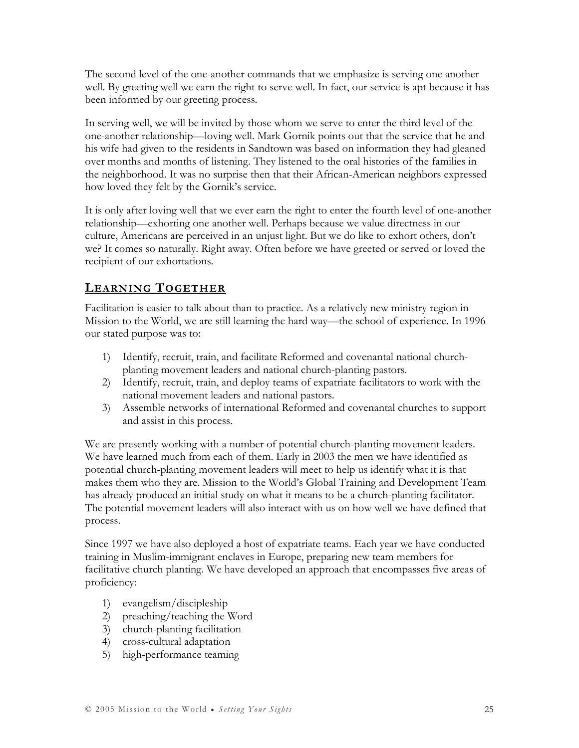The second level of the one-another commands that we emphasize is serving one another well. By greeting well we earn the right to serve well. In fact, our service is apt because it has been informed by our greeting process.

In serving well, we will be invited by those whom we serve to enter the third level of the one-another relationship—loving well. Mark Gornik points out that the service that he and his wife had given to the residents in Sandtown was based on information they had gleaned over months and months of listening. They listened to the oral histories of the families in the neighborhood. It was no surprise then that their African-American neighbors expressed how loved they felt by the Gornik's service.

It is only after loving well that we ever earn the right to enter the fourth level of one-another relationship—exhorting one another well. Perhaps because we value directness in our culture, Americans are perceived in an unjust light. But we do like to exhort others, don't we? It comes so naturally. Right away. Often before we have greeted or served or loved the recipient of our exhortations.

### LEARNING TOGETHER

Facilitation is easier to talk about than to practice. As a relatively new ministry region in Mission to the World, we are still learning the hard way—the school of experience. In 1996 our stated purpose was to:

- 1) Identify, recruit, train, and facilitate Reformed and covenantal national churchplanting movement leaders and national church-planting pastors.
- 2) Identify, recruit, train, and deploy teams of expatriate facilitators to work with the national movement leaders and national pastors.
- 3) Assemble networks of international Reformed and covenantal churches to support and assist in this process.

We are presently working with a number of potential church-planting movement leaders. We have learned much from each of them. Early in 2003 the men we have identified as potential church-planting movement leaders will meet to help us identify what it is that makes them who they are. Mission to the World's Global Training and Development Team has already produced an initial study on what it means to be a church-planting facilitator. The potential movement leaders will also interact with us on how well we have defined that process.

Since 1997 we have also deployed a host of expatriate teams. Each year we have conducted training in Muslim-immigrant enclaves in Europe, preparing new team members for facilitative church planting. We have developed an approach that encompasses five areas of proficiency:

- 1) evangelism/discipleship
- 2) preaching/teaching the Word
- 3) church-planting facilitation
- 4) cross-cultural adaptation
- 5) high-performance teaming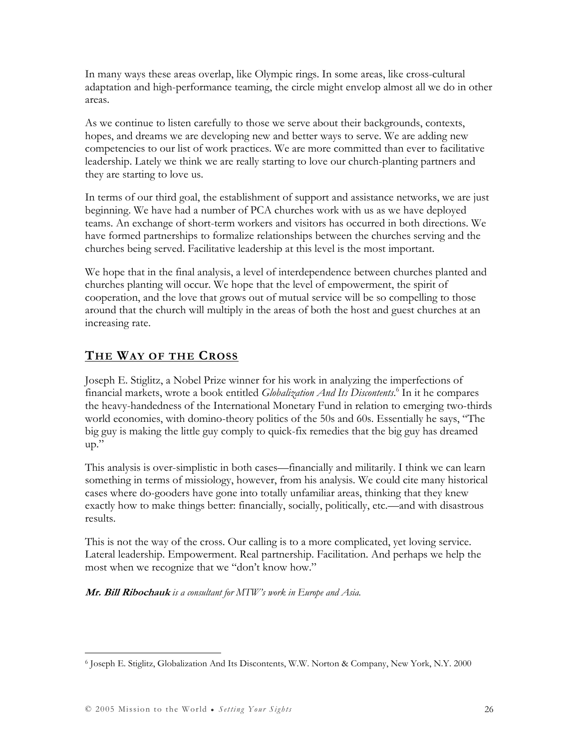In many ways these areas overlap, like Olympic rings. In some areas, like cross-cultural adaptation and high-performance teaming, the circle might envelop almost all we do in other areas.

As we continue to listen carefully to those we serve about their backgrounds, contexts, hopes, and dreams we are developing new and better ways to serve. We are adding new competencies to our list of work practices. We are more committed than ever to facilitative leadership. Lately we think we are really starting to love our church-planting partners and they are starting to love us.

In terms of our third goal, the establishment of support and assistance networks, we are just beginning. We have had a number of PCA churches work with us as we have deployed teams. An exchange of short-term workers and visitors has occurred in both directions. We have formed partnerships to formalize relationships between the churches serving and the churches being served. Facilitative leadership at this level is the most important.

We hope that in the final analysis, a level of interdependence between churches planted and churches planting will occur. We hope that the level of empowerment, the spirit of cooperation, and the love that grows out of mutual service will be so compelling to those around that the church will multiply in the areas of both the host and guest churches at an increasing rate.

### THE WAY OF THE CROSS

Joseph E. Stiglitz, a Nobel Prize winner for his work in analyzing the imperfections of financial markets, wrote a book entitled Globalization And Its Discontents.<sup>6</sup> In it he compares the heavy-handedness of the International Monetary Fund in relation to emerging two-thirds world economies, with domino-theory politics of the 50s and 60s. Essentially he says, "The big guy is making the little guy comply to quick-fix remedies that the big guy has dreamed up."

This analysis is over-simplistic in both cases—financially and militarily. I think we can learn something in terms of missiology, however, from his analysis. We could cite many historical cases where do-gooders have gone into totally unfamiliar areas, thinking that they knew exactly how to make things better: financially, socially, politically, etc.—and with disastrous results.

This is not the way of the cross. Our calling is to a more complicated, yet loving service. Lateral leadership. Empowerment. Real partnership. Facilitation. And perhaps we help the most when we recognize that we "don't know how."

Mr. Bill Ribochauk is a consultant for MTW's work in Europe and Asia.

 $\overline{a}$ 6 Joseph E. Stiglitz, Globalization And Its Discontents, W.W. Norton & Company, New York, N.Y. 2000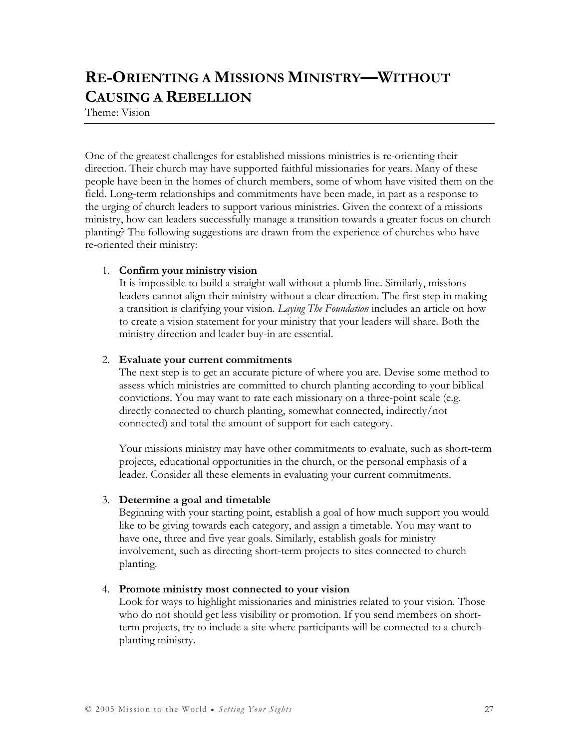# RE-ORIENTING A MISSIONS MINISTRY—WITHOUT CAUSING A REBELLION

Theme: Vision

One of the greatest challenges for established missions ministries is re-orienting their direction. Their church may have supported faithful missionaries for years. Many of these people have been in the homes of church members, some of whom have visited them on the field. Long-term relationships and commitments have been made, in part as a response to the urging of church leaders to support various ministries. Given the context of a missions ministry, how can leaders successfully manage a transition towards a greater focus on church planting? The following suggestions are drawn from the experience of churches who have re-oriented their ministry:

### 1. Confirm your ministry vision

It is impossible to build a straight wall without a plumb line. Similarly, missions leaders cannot align their ministry without a clear direction. The first step in making a transition is clarifying your vision. Laying The Foundation includes an article on how to create a vision statement for your ministry that your leaders will share. Both the ministry direction and leader buy-in are essential.

### 2. Evaluate your current commitments

The next step is to get an accurate picture of where you are. Devise some method to assess which ministries are committed to church planting according to your biblical convictions. You may want to rate each missionary on a three-point scale (e.g. directly connected to church planting, somewhat connected, indirectly/not connected) and total the amount of support for each category.

Your missions ministry may have other commitments to evaluate, such as short-term projects, educational opportunities in the church, or the personal emphasis of a leader. Consider all these elements in evaluating your current commitments.

#### 3. Determine a goal and timetable

Beginning with your starting point, establish a goal of how much support you would like to be giving towards each category, and assign a timetable. You may want to have one, three and five year goals. Similarly, establish goals for ministry involvement, such as directing short-term projects to sites connected to church planting.

#### 4. Promote ministry most connected to your vision

Look for ways to highlight missionaries and ministries related to your vision. Those who do not should get less visibility or promotion. If you send members on shortterm projects, try to include a site where participants will be connected to a churchplanting ministry.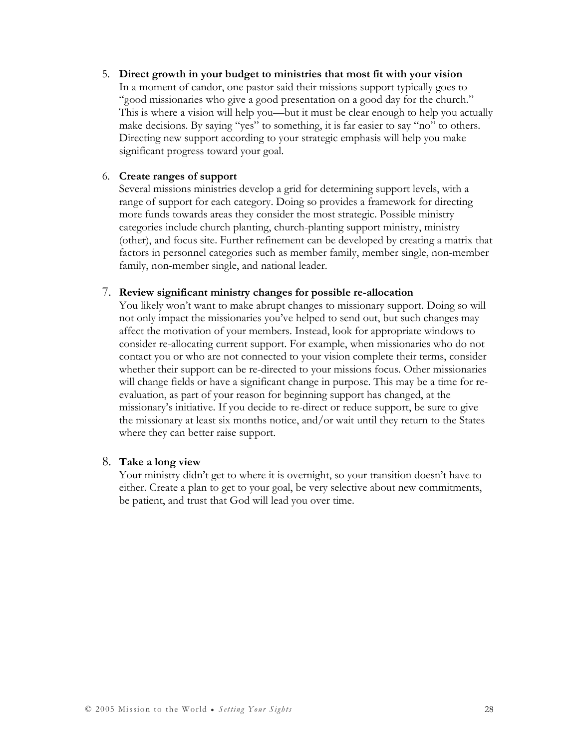5. Direct growth in your budget to ministries that most fit with your vision In a moment of candor, one pastor said their missions support typically goes to "good missionaries who give a good presentation on a good day for the church." This is where a vision will help you—but it must be clear enough to help you actually make decisions. By saying "yes" to something, it is far easier to say "no" to others. Directing new support according to your strategic emphasis will help you make significant progress toward your goal.

#### 6. Create ranges of support

Several missions ministries develop a grid for determining support levels, with a range of support for each category. Doing so provides a framework for directing more funds towards areas they consider the most strategic. Possible ministry categories include church planting, church-planting support ministry, ministry (other), and focus site. Further refinement can be developed by creating a matrix that factors in personnel categories such as member family, member single, non-member family, non-member single, and national leader.

#### 7. Review significant ministry changes for possible re-allocation

You likely won't want to make abrupt changes to missionary support. Doing so will not only impact the missionaries you've helped to send out, but such changes may affect the motivation of your members. Instead, look for appropriate windows to consider re-allocating current support. For example, when missionaries who do not contact you or who are not connected to your vision complete their terms, consider whether their support can be re-directed to your missions focus. Other missionaries will change fields or have a significant change in purpose. This may be a time for reevaluation, as part of your reason for beginning support has changed, at the missionary's initiative. If you decide to re-direct or reduce support, be sure to give the missionary at least six months notice, and/or wait until they return to the States where they can better raise support.

#### 8. Take a long view

Your ministry didn't get to where it is overnight, so your transition doesn't have to either. Create a plan to get to your goal, be very selective about new commitments, be patient, and trust that God will lead you over time.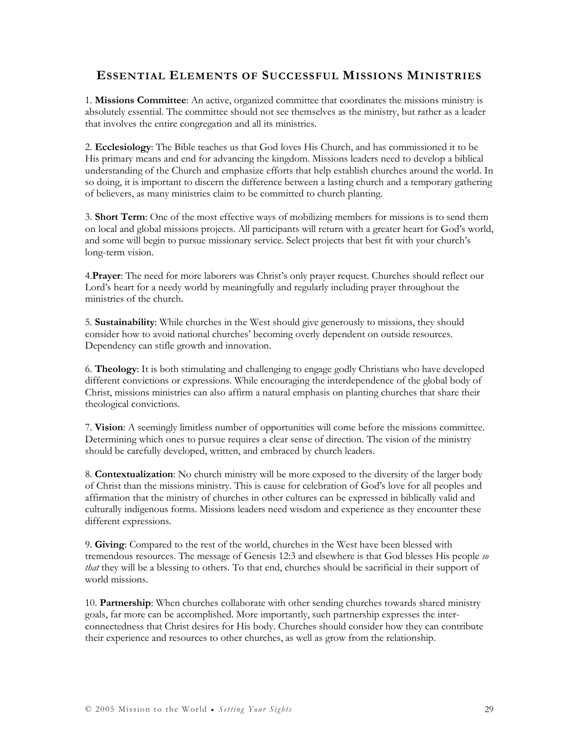### ESSENTIAL ELEMENTS OF SUCCESSFUL MISSIONS MINISTRIES

1. Missions Committee: An active, organized committee that coordinates the missions ministry is absolutely essential. The committee should not see themselves as the ministry, but rather as a leader that involves the entire congregation and all its ministries.

2. Ecclesiology: The Bible teaches us that God loves His Church, and has commissioned it to be His primary means and end for advancing the kingdom. Missions leaders need to develop a biblical understanding of the Church and emphasize efforts that help establish churches around the world. In so doing, it is important to discern the difference between a lasting church and a temporary gathering of believers, as many ministries claim to be committed to church planting.

3. Short Term: One of the most effective ways of mobilizing members for missions is to send them on local and global missions projects. All participants will return with a greater heart for God's world, and some will begin to pursue missionary service. Select projects that best fit with your church's long-term vision.

4. Prayer: The need for more laborers was Christ's only prayer request. Churches should reflect our Lord's heart for a needy world by meaningfully and regularly including prayer throughout the ministries of the church.

5. Sustainability: While churches in the West should give generously to missions, they should consider how to avoid national churches' becoming overly dependent on outside resources. Dependency can stifle growth and innovation.

6. Theology: It is both stimulating and challenging to engage godly Christians who have developed different convictions or expressions. While encouraging the interdependence of the global body of Christ, missions ministries can also affirm a natural emphasis on planting churches that share their theological convictions.

7. Vision: A seemingly limitless number of opportunities will come before the missions committee. Determining which ones to pursue requires a clear sense of direction. The vision of the ministry should be carefully developed, written, and embraced by church leaders.

8. Contextualization: No church ministry will be more exposed to the diversity of the larger body of Christ than the missions ministry. This is cause for celebration of God's love for all peoples and affirmation that the ministry of churches in other cultures can be expressed in biblically valid and culturally indigenous forms. Missions leaders need wisdom and experience as they encounter these different expressions.

9. Giving: Compared to the rest of the world, churches in the West have been blessed with tremendous resources. The message of Genesis 12:3 and elsewhere is that God blesses His people so that they will be a blessing to others. To that end, churches should be sacrificial in their support of world missions.

10. Partnership: When churches collaborate with other sending churches towards shared ministry goals, far more can be accomplished. More importantly, such partnership expresses the interconnectedness that Christ desires for His body. Churches should consider how they can contribute their experience and resources to other churches, as well as grow from the relationship.